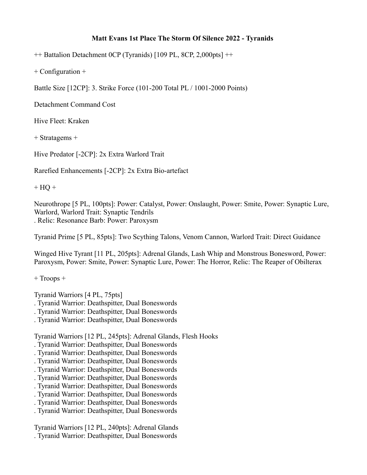## **Matt Evans 1st Place The Storm Of Silence 2022 - Tyranids**

++ Battalion Detachment 0CP (Tyranids) [109 PL, 8CP, 2,000pts] ++

+ Configuration +

Battle Size [12CP]: 3. Strike Force (101-200 Total PL / 1001-2000 Points)

Detachment Command Cost

Hive Fleet: Kraken

+ Stratagems +

Hive Predator [-2CP]: 2x Extra Warlord Trait

Rarefied Enhancements [-2CP]: 2x Extra Bio-artefact

 $+$  HQ  $+$ 

Neurothrope [5 PL, 100pts]: Power: Catalyst, Power: Onslaught, Power: Smite, Power: Synaptic Lure, Warlord, Warlord Trait: Synaptic Tendrils . Relic: Resonance Barb: Power: Paroxysm

Tyranid Prime [5 PL, 85pts]: Two Scything Talons, Venom Cannon, Warlord Trait: Direct Guidance

Winged Hive Tyrant [11 PL, 205pts]: Adrenal Glands, Lash Whip and Monstrous Bonesword, Power: Paroxysm, Power: Smite, Power: Synaptic Lure, Power: The Horror, Relic: The Reaper of Obilterax

+ Troops +

Tyranid Warriors [4 PL, 75pts]

- . Tyranid Warrior: Deathspitter, Dual Boneswords
- . Tyranid Warrior: Deathspitter, Dual Boneswords
- . Tyranid Warrior: Deathspitter, Dual Boneswords

Tyranid Warriors [12 PL, 245pts]: Adrenal Glands, Flesh Hooks

- . Tyranid Warrior: Deathspitter, Dual Boneswords
- . Tyranid Warrior: Deathspitter, Dual Boneswords
- . Tyranid Warrior: Deathspitter, Dual Boneswords
- . Tyranid Warrior: Deathspitter, Dual Boneswords
- . Tyranid Warrior: Deathspitter, Dual Boneswords
- . Tyranid Warrior: Deathspitter, Dual Boneswords
- . Tyranid Warrior: Deathspitter, Dual Boneswords
- . Tyranid Warrior: Deathspitter, Dual Boneswords
- . Tyranid Warrior: Deathspitter, Dual Boneswords

Tyranid Warriors [12 PL, 240pts]: Adrenal Glands . Tyranid Warrior: Deathspitter, Dual Boneswords